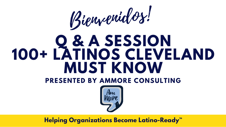# **Q & A SESSION 100+ LATINOS CLEVELAND MUST KNOW PRESENTED BY AMMORE CONSULTING** Bienvenidos!

## **Helping Organizations Become Latino-Ready ™**



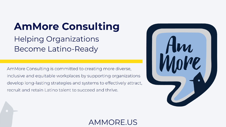## **AmMore Consulting Helping Organizations** Become Latino-Ready

AmMore Consulting is committed to creating more diverse, inclusive and equitable workplaces by supporting organizations develop long-lasting strategies and systems to effectively attract, recruit and retain Latino talent to succeed and thrive.

## AMMORE.

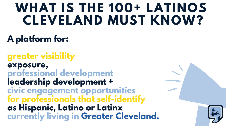# **WHAT IS THE 100+ LATINOS CLEVELAND MUST KNOW?**

## **A platform for:**

**greater visibility exposure, professional development leadership development + civic engagement opportunities for professionals that self-identify as Hispanic, Latino or Latinx currently living in Greater Cleveland.**



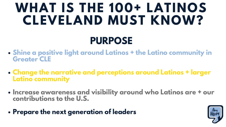# **WHAT IS THE 100+ LATINOS CLEVELAND MUST KNOW? PURPOSE**

- **Shine a positive light around Latinos + the Latino community in Greater CLE**
- **Change the narrative and perceptions around Latinos + larger Latino community**
- **Increase awareness and visibility around who Latinos are + our contributions to the U.S.**
- **Prepare the next generation of leaders**

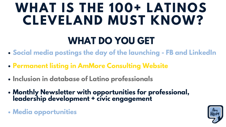# **WHAT IS THE 100+ LATINOS CLEVELAND MUST KNOW? WHAT DO YOU GET**

- **Social media postings the day of the launching - FB and LinkedIn**
- **Permanent listing in AmMore Consulting Website**
- **Inclusion in database of Latino professionals**
- **Monthly Newsletter with opportunities for professional, leadership development + civic engagement**
- **Media opportunities**

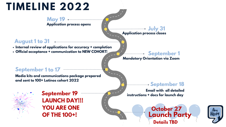

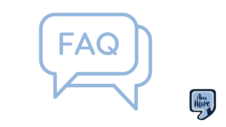

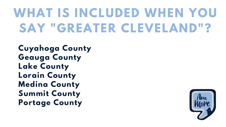**[Cuyahoga](https://en.wikipedia.org/wiki/Cuyahoga_County,_Ohio) County [Geauga](https://en.wikipedia.org/wiki/Geauga_County,_Ohio) County Lake [County](https://en.wikipedia.org/wiki/Lake_County,_Ohio) Lorain [County](https://en.wikipedia.org/wiki/Lorain_County,_Ohio) [Medina](https://en.wikipedia.org/wiki/Medina_County,_Ohio) County Summit County Portage County**



# **WHAT IS INCLUDED WHEN YOU SAY "GREATER CLEVELAND"?**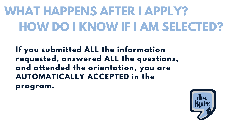**If you submitted ALL the information requested, answered ALL the questions, and attended the orientation, you are AUTOMATICALLY ACCEPTED in the program.**



# **WHAT HAPPENS AFTER I APPLY? HOW DO I KNOW IF I AM SELECTED?**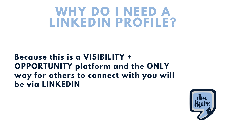## **Because this is a VISIBILITY + OPPORTUNITY platform and the ONLY way for others to connect with you will be via LINKEDIN**





# **WHY DO I NEED A LINKEDIN PROFILE?**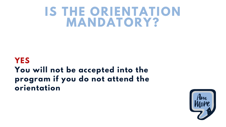## **YES You will not be accepted into the program if you do not attend the orientation**



# **IS THE ORIENTATION MANDATORY?**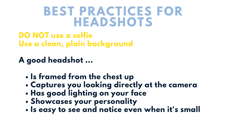- **Is framed from the chest up**
- **Captures you looking directly at the camera**
- **Has good lighting on your face**
- **Showcases your personality**
- **Is easy to see and notice even when it's small**

**DO NOT use a selfie Use a clean, plain background**

**A good headshot ...**

# **BEST PRACTICES FOR HEADSHOTS**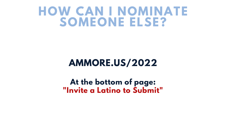## **AMMORE.US/2022**

**At the bottom of page: "Invite a Latino to Submit"**



## **HOW CAN I NOMINATE SOMEONE ELSE?**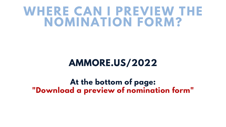## **AMMORE.US/2022**

**At the bottom of page: "Download a preview of nomination form"**

# **WHERE CAN I PREVIEW THE NOMINATION FORM?**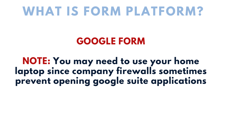## **GOOGLE FORM**

**NOTE: You may need to use your home laptop since company firewalls sometimes prevent opening google suite applications**



# **WHAT IS FORM PLATFORM?**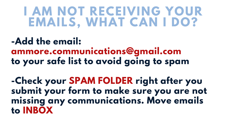**-Add the email: ammore.communications@gmail.com to your safe list to avoid going to spam**

**-Check your SPAM FOLDER right after you submit your form to make sure you are not missing any communications. Move emails to INBOX**

# **I AM NOT RECEIVING YOUR EMAILS, WHAT CAN I DO?**